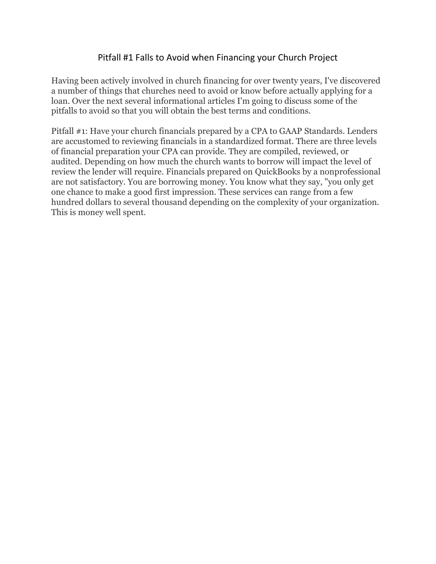### Pitfall #1 Falls to Avoid when Financing your Church Project

Having been actively involved in church financing for over twenty years, I've discovered a number of things that churches need to avoid or know before actually applying for a loan. Over the next several informational articles I'm going to discuss some of the pitfalls to avoid so that you will obtain the best terms and conditions.

Pitfall #1: Have your church financials prepared by a CPA to GAAP Standards. Lenders are accustomed to reviewing financials in a standardized format. There are three levels of financial preparation your CPA can provide. They are compiled, reviewed, or audited. Depending on how much the church wants to borrow will impact the level of review the lender will require. Financials prepared on QuickBooks by a nonprofessional are not satisfactory. You are borrowing money. You know what they say, "you only get one chance to make a good first impression. These services can range from a few hundred dollars to several thousand depending on the complexity of your organization. This is money well spent.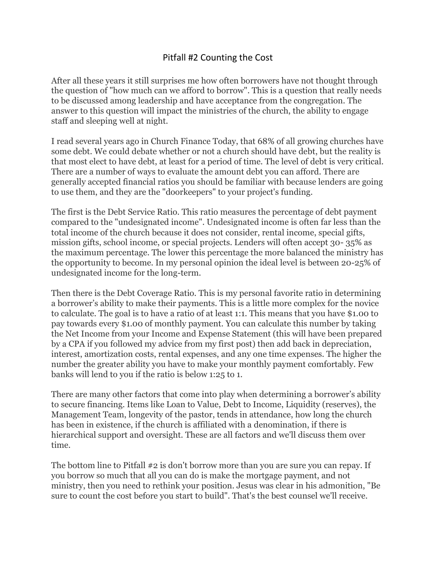# Pitfall #2 Counting the Cost

After all these years it still surprises me how often borrowers have not thought through the question of "how much can we afford to borrow". This is a question that really needs to be discussed among leadership and have acceptance from the congregation. The answer to this question will impact the ministries of the church, the ability to engage staff and sleeping well at night.

I read several years ago in Church Finance Today, that 68% of all growing churches have some debt. We could debate whether or not a church should have debt, but the reality is that most elect to have debt, at least for a period of time. The level of debt is very critical. There are a number of ways to evaluate the amount debt you can afford. There are generally accepted financial ratios you should be familiar with because lenders are going to use them, and they are the "doorkeepers" to your project's funding.

The first is the Debt Service Ratio. This ratio measures the percentage of debt payment compared to the "undesignated income". Undesignated income is often far less than the total income of the church because it does not consider, rental income, special gifts, mission gifts, school income, or special projects. Lenders will often accept 30- 35% as the maximum percentage. The lower this percentage the more balanced the ministry has the opportunity to become. In my personal opinion the ideal level is between 20-25% of undesignated income for the long-term.

Then there is the Debt Coverage Ratio. This is my personal favorite ratio in determining a borrower's ability to make their payments. This is a little more complex for the novice to calculate. The goal is to have a ratio of at least 1:1. This means that you have \$1.00 to pay towards every \$1.00 of monthly payment. You can calculate this number by taking the Net Income from your Income and Expense Statement (this will have been prepared by a CPA if you followed my advice from my first post) then add back in depreciation, interest, amortization costs, rental expenses, and any one time expenses. The higher the number the greater ability you have to make your monthly payment comfortably. Few banks will lend to you if the ratio is below 1:25 to 1.

There are many other factors that come into play when determining a borrower's ability to secure financing. Items like Loan to Value, Debt to Income, Liquidity (reserves), the Management Team, longevity of the pastor, tends in attendance, how long the church has been in existence, if the church is affiliated with a denomination, if there is hierarchical support and oversight. These are all factors and we'll discuss them over time.

The bottom line to Pitfall #2 is don't borrow more than you are sure you can repay. If you borrow so much that all you can do is make the mortgage payment, and not ministry, then you need to rethink your position. Jesus was clear in his admonition, "Be sure to count the cost before you start to build". That's the best counsel we'll receive.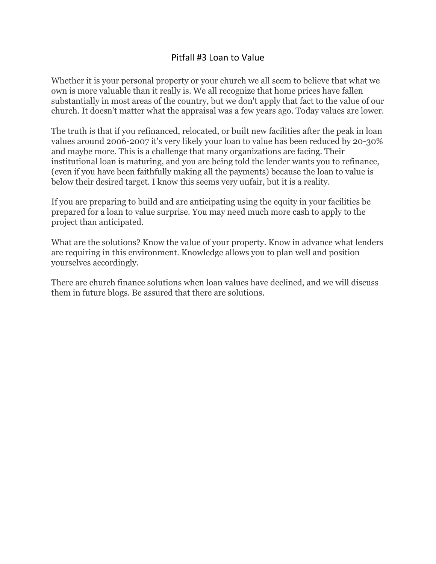### Pitfall #3 Loan to Value

Whether it is your personal property or your church we all seem to believe that what we own is more valuable than it really is. We all recognize that home prices have fallen substantially in most areas of the country, but we don't apply that fact to the value of our church. It doesn't matter what the appraisal was a few years ago. Today values are lower.

The truth is that if you refinanced, relocated, or built new facilities after the peak in loan values around 2006-2007 it's very likely your loan to value has been reduced by 20-30% and maybe more. This is a challenge that many organizations are facing. Their institutional loan is maturing, and you are being told the lender wants you to refinance, (even if you have been faithfully making all the payments) because the loan to value is below their desired target. I know this seems very unfair, but it is a reality.

If you are preparing to build and are anticipating using the equity in your facilities be prepared for a loan to value surprise. You may need much more cash to apply to the project than anticipated.

What are the solutions? Know the value of your property. Know in advance what lenders are requiring in this environment. Knowledge allows you to plan well and position yourselves accordingly.

There are church finance solutions when loan values have declined, and we will discuss them in future blogs. Be assured that there are solutions.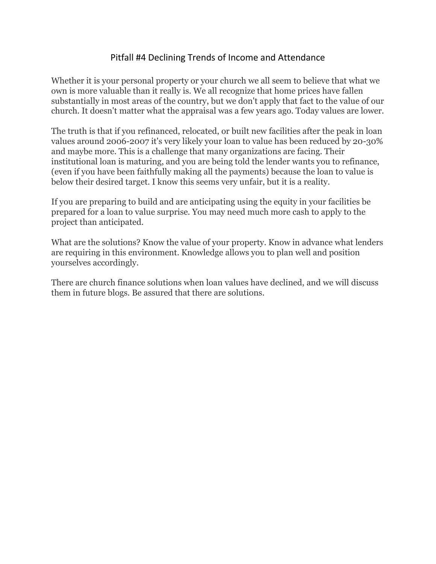# Pitfall #4 Declining Trends of Income and Attendance

Whether it is your personal property or your church we all seem to believe that what we own is more valuable than it really is. We all recognize that home prices have fallen substantially in most areas of the country, but we don't apply that fact to the value of our church. It doesn't matter what the appraisal was a few years ago. Today values are lower.

The truth is that if you refinanced, relocated, or built new facilities after the peak in loan values around 2006-2007 it's very likely your loan to value has been reduced by 20-30% and maybe more. This is a challenge that many organizations are facing. Their institutional loan is maturing, and you are being told the lender wants you to refinance, (even if you have been faithfully making all the payments) because the loan to value is below their desired target. I know this seems very unfair, but it is a reality.

If you are preparing to build and are anticipating using the equity in your facilities be prepared for a loan to value surprise. You may need much more cash to apply to the project than anticipated.

What are the solutions? Know the value of your property. Know in advance what lenders are requiring in this environment. Knowledge allows you to plan well and position yourselves accordingly.

There are church finance solutions when loan values have declined, and we will discuss them in future blogs. Be assured that there are solutions.